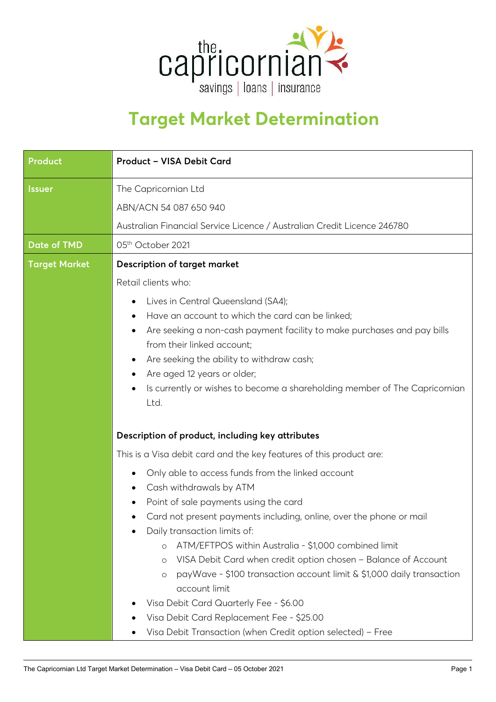

## **Target Market Determination**

| Product              | Product - VISA Debit Card                                                                         |  |  |  |
|----------------------|---------------------------------------------------------------------------------------------------|--|--|--|
| <b>Issuer</b>        | The Capricornian Ltd                                                                              |  |  |  |
|                      | ABN/ACN 54 087 650 940                                                                            |  |  |  |
|                      | Australian Financial Service Licence / Australian Credit Licence 246780                           |  |  |  |
| <b>Date of TMD</b>   | 05th October 2021                                                                                 |  |  |  |
| <b>Target Market</b> | <b>Description of target market</b>                                                               |  |  |  |
|                      | Retail clients who:                                                                               |  |  |  |
|                      | Lives in Central Queensland (SA4);<br>$\bullet$                                                   |  |  |  |
|                      | Have an account to which the card can be linked;<br>$\bullet$                                     |  |  |  |
|                      | Are seeking a non-cash payment facility to make purchases and pay bills                           |  |  |  |
|                      | from their linked account;                                                                        |  |  |  |
|                      | Are seeking the ability to withdraw cash;<br>$\bullet$                                            |  |  |  |
|                      | Are aged 12 years or older;                                                                       |  |  |  |
|                      | Is currently or wishes to become a shareholding member of The Capricornian<br>٠<br>Ltd.           |  |  |  |
|                      |                                                                                                   |  |  |  |
|                      | Description of product, including key attributes                                                  |  |  |  |
|                      | This is a Visa debit card and the key features of this product are:                               |  |  |  |
|                      | Only able to access funds from the linked account<br>٠                                            |  |  |  |
|                      | Cash withdrawals by ATM                                                                           |  |  |  |
|                      | Point of sale payments using the card                                                             |  |  |  |
|                      | Card not present payments including, online, over the phone or mail                               |  |  |  |
|                      | Daily transaction limits of:                                                                      |  |  |  |
|                      | ATM/EFTPOS within Australia - \$1,000 combined limit<br>$\circ$                                   |  |  |  |
|                      | VISA Debit Card when credit option chosen - Balance of Account<br>$\circ$                         |  |  |  |
|                      | payWave - \$100 transaction account limit & \$1,000 daily transaction<br>$\circ$<br>account limit |  |  |  |
|                      | Visa Debit Card Quarterly Fee - \$6.00                                                            |  |  |  |
|                      | Visa Debit Card Replacement Fee - \$25.00                                                         |  |  |  |
|                      | Visa Debit Transaction (when Credit option selected) - Free                                       |  |  |  |
|                      |                                                                                                   |  |  |  |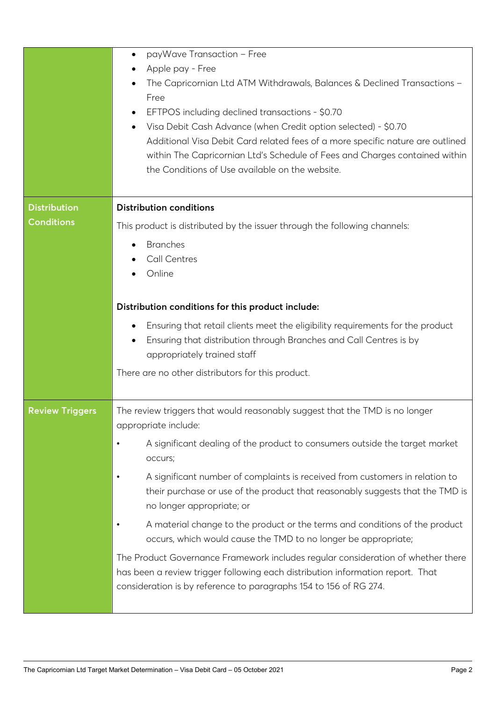|                        | payWave Transaction - Free<br>$\bullet$                                                                                                                                                                                                 |  |  |  |  |
|------------------------|-----------------------------------------------------------------------------------------------------------------------------------------------------------------------------------------------------------------------------------------|--|--|--|--|
|                        | Apple pay - Free<br>The Capricornian Ltd ATM Withdrawals, Balances & Declined Transactions -<br>Free                                                                                                                                    |  |  |  |  |
|                        | EFTPOS including declined transactions - \$0.70                                                                                                                                                                                         |  |  |  |  |
|                        | Visa Debit Cash Advance (when Credit option selected) - \$0.70<br>$\bullet$                                                                                                                                                             |  |  |  |  |
|                        | Additional Visa Debit Card related fees of a more specific nature are outlined<br>within The Capricornian Ltd's Schedule of Fees and Charges contained within                                                                           |  |  |  |  |
|                        | the Conditions of Use available on the website.                                                                                                                                                                                         |  |  |  |  |
|                        |                                                                                                                                                                                                                                         |  |  |  |  |
| <b>Distribution</b>    | <b>Distribution conditions</b>                                                                                                                                                                                                          |  |  |  |  |
| <b>Conditions</b>      | This product is distributed by the issuer through the following channels:                                                                                                                                                               |  |  |  |  |
|                        | <b>Branches</b>                                                                                                                                                                                                                         |  |  |  |  |
|                        | <b>Call Centres</b>                                                                                                                                                                                                                     |  |  |  |  |
|                        | Online                                                                                                                                                                                                                                  |  |  |  |  |
|                        | Distribution conditions for this product include:                                                                                                                                                                                       |  |  |  |  |
|                        | Ensuring that retail clients meet the eligibility requirements for the product<br>٠<br>Ensuring that distribution through Branches and Call Centres is by                                                                               |  |  |  |  |
|                        | appropriately trained staff                                                                                                                                                                                                             |  |  |  |  |
|                        | There are no other distributors for this product.                                                                                                                                                                                       |  |  |  |  |
|                        |                                                                                                                                                                                                                                         |  |  |  |  |
| <b>Review Triggers</b> | The review triggers that would reasonably suggest that the TMD is no longer<br>appropriate include:                                                                                                                                     |  |  |  |  |
|                        | A significant dealing of the product to consumers outside the target market<br>$\bullet$<br>occurs;                                                                                                                                     |  |  |  |  |
|                        | A significant number of complaints is received from customers in relation to<br>$\bullet$<br>their purchase or use of the product that reasonably suggests that the TMD is<br>no longer appropriate; or                                 |  |  |  |  |
|                        | A material change to the product or the terms and conditions of the product<br>occurs, which would cause the TMD to no longer be appropriate;                                                                                           |  |  |  |  |
|                        | The Product Governance Framework includes regular consideration of whether there<br>has been a review trigger following each distribution information report. That<br>consideration is by reference to paragraphs 154 to 156 of RG 274. |  |  |  |  |